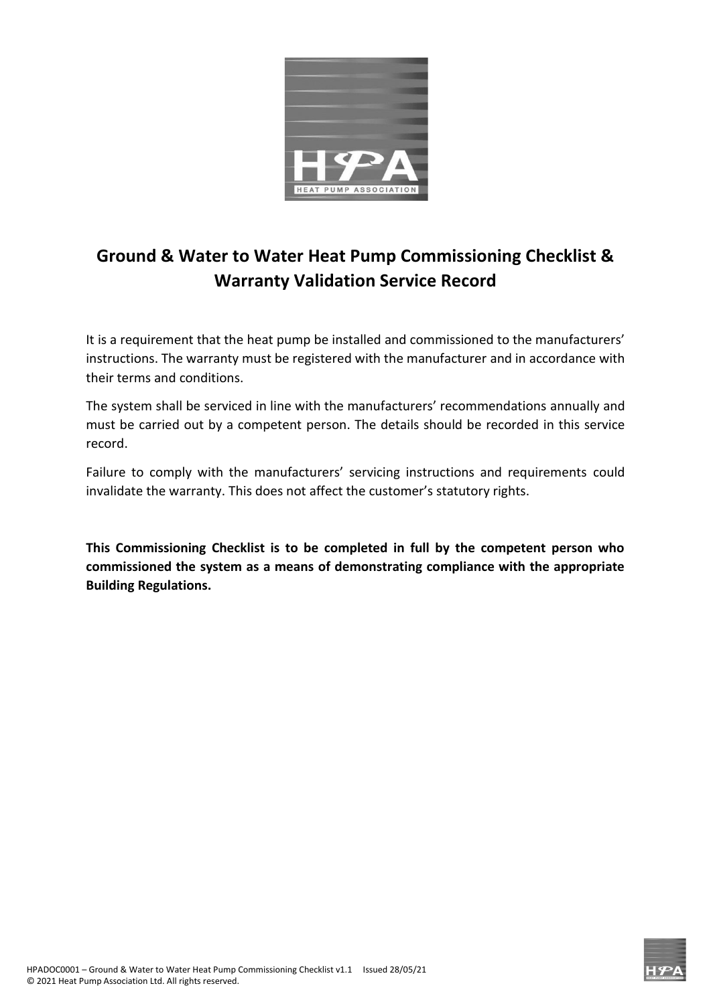

## **Ground & Water to Water Heat Pump Commissioning Checklist & Warranty Validation Service Record**

It is a requirement that the heat pump be installed and commissioned to the manufacturers' instructions. The warranty must be registered with the manufacturer and in accordance with their terms and conditions.

The system shall be serviced in line with the manufacturers' recommendations annually and must be carried out by a competent person. The details should be recorded in this service record.

Failure to comply with the manufacturers' servicing instructions and requirements could invalidate the warranty. This does not affect the customer's statutory rights.

**This Commissioning Checklist is to be completed in full by the competent person who commissioned the system as a means of demonstrating compliance with the appropriate Building Regulations.**

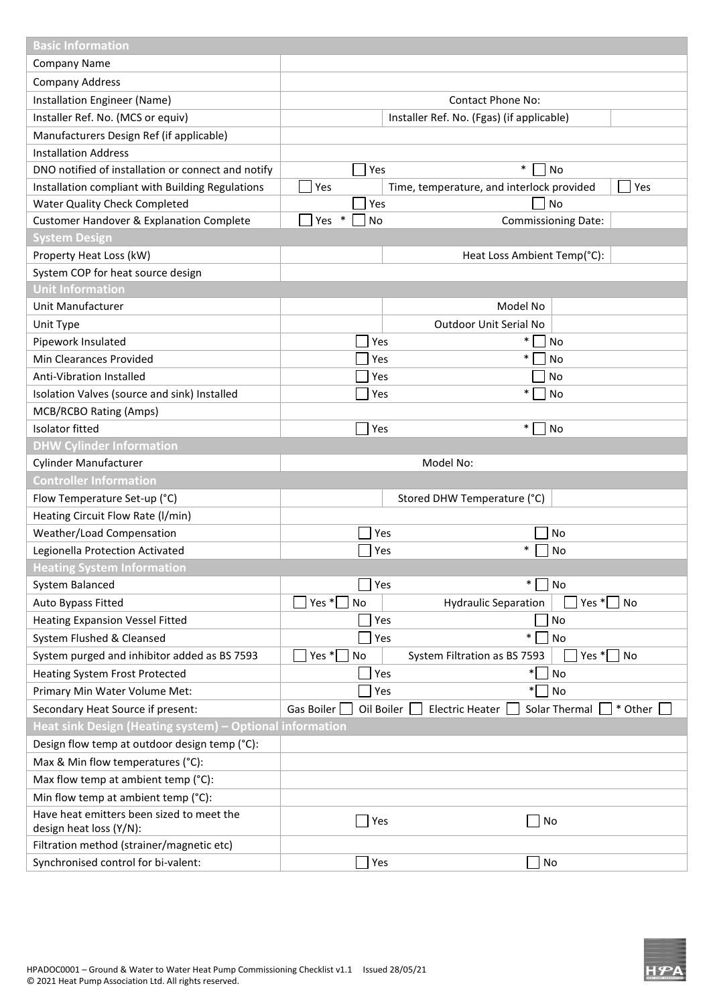| <b>Basic Information</b>                                                           |                            |                                                    |  |  |  |  |
|------------------------------------------------------------------------------------|----------------------------|----------------------------------------------------|--|--|--|--|
| <b>Company Name</b>                                                                |                            |                                                    |  |  |  |  |
| <b>Company Address</b>                                                             |                            |                                                    |  |  |  |  |
| Installation Engineer (Name)                                                       | <b>Contact Phone No:</b>   |                                                    |  |  |  |  |
| Installer Ref. No. (MCS or equiv)                                                  |                            | Installer Ref. No. (Fgas) (if applicable)          |  |  |  |  |
| Manufacturers Design Ref (if applicable)                                           |                            |                                                    |  |  |  |  |
| <b>Installation Address</b>                                                        |                            |                                                    |  |  |  |  |
| DNO notified of installation or connect and notify                                 | Yes                        | $\ast$<br><b>No</b>                                |  |  |  |  |
| Installation compliant with Building Regulations                                   | Yes                        | Yes<br>Time, temperature, and interlock provided   |  |  |  |  |
| <b>Water Quality Check Completed</b>                                               | Yes                        | No                                                 |  |  |  |  |
| Customer Handover & Explanation Complete                                           | $\ast$<br>Yes<br><b>No</b> | <b>Commissioning Date:</b>                         |  |  |  |  |
| <b>System Design</b>                                                               |                            |                                                    |  |  |  |  |
| Property Heat Loss (kW)                                                            |                            | Heat Loss Ambient Temp(°C):                        |  |  |  |  |
| System COP for heat source design                                                  |                            |                                                    |  |  |  |  |
| <b>Unit Information</b>                                                            |                            |                                                    |  |  |  |  |
| Unit Manufacturer                                                                  |                            | Model No                                           |  |  |  |  |
| Unit Type                                                                          |                            | Outdoor Unit Serial No                             |  |  |  |  |
| Pipework Insulated                                                                 | Yes                        | $\ast$<br>No                                       |  |  |  |  |
| Min Clearances Provided                                                            | Yes                        | $\ast$<br>No                                       |  |  |  |  |
| <b>Anti-Vibration Installed</b>                                                    | Yes<br>No                  |                                                    |  |  |  |  |
| Isolation Valves (source and sink) Installed                                       | Yes                        | $\ast$<br>No                                       |  |  |  |  |
| MCB/RCBO Rating (Amps)                                                             |                            |                                                    |  |  |  |  |
| <b>Isolator fitted</b>                                                             | Yes                        | $\ast$<br><b>No</b>                                |  |  |  |  |
| <b>DHW Cylinder Information</b>                                                    |                            |                                                    |  |  |  |  |
| <b>Cylinder Manufacturer</b>                                                       | Model No:                  |                                                    |  |  |  |  |
| <b>Controller Information</b>                                                      |                            |                                                    |  |  |  |  |
| Flow Temperature Set-up (°C)                                                       |                            | Stored DHW Temperature (°C)                        |  |  |  |  |
| Heating Circuit Flow Rate (I/min)                                                  |                            |                                                    |  |  |  |  |
| <b>Weather/Load Compensation</b>                                                   | Yes                        | No                                                 |  |  |  |  |
| Legionella Protection Activated                                                    | Yes                        | $\ast$<br>No                                       |  |  |  |  |
| <b>Heating System Information</b>                                                  |                            |                                                    |  |  |  |  |
| System Balanced                                                                    | Yes                        | $\ast$<br>No                                       |  |  |  |  |
| Auto Bypass Fitted                                                                 | Yes $*$ No                 | Yes $*$<br>No<br><b>Hydraulic Separation</b>       |  |  |  |  |
| <b>Heating Expansion Vessel Fitted</b>                                             | Yes                        | No                                                 |  |  |  |  |
| System Flushed & Cleansed                                                          | Yes                        | $\ast$<br>No                                       |  |  |  |  |
| System purged and inhibitor added as BS 7593                                       | Yes $\sqrt[k]{ }$<br>No    | Yes $*$<br>No<br>System Filtration as BS 7593      |  |  |  |  |
| <b>Heating System Frost Protected</b>                                              | Yes                        | $\ast$<br>No                                       |  |  |  |  |
| Primary Min Water Volume Met:                                                      | Yes                        | $\ast$<br>No                                       |  |  |  |  |
| Secondary Heat Source if present:                                                  | Gas Boiler<br>Oil Boiler   | <b>Electric Heater</b><br>Solar Thermal<br>* Other |  |  |  |  |
| Heat sink Design (Heating system) - Optional information                           |                            |                                                    |  |  |  |  |
|                                                                                    |                            |                                                    |  |  |  |  |
| Design flow temp at outdoor design temp (°C):<br>Max & Min flow temperatures (°C): |                            |                                                    |  |  |  |  |
|                                                                                    |                            |                                                    |  |  |  |  |
| Max flow temp at ambient temp (°C):                                                |                            |                                                    |  |  |  |  |
| Min flow temp at ambient temp (°C):                                                |                            |                                                    |  |  |  |  |
| Have heat emitters been sized to meet the<br>design heat loss (Y/N):               | Yes                        | No                                                 |  |  |  |  |
| Filtration method (strainer/magnetic etc)                                          |                            |                                                    |  |  |  |  |
| Synchronised control for bi-valent:                                                | Yes                        | No                                                 |  |  |  |  |
|                                                                                    |                            |                                                    |  |  |  |  |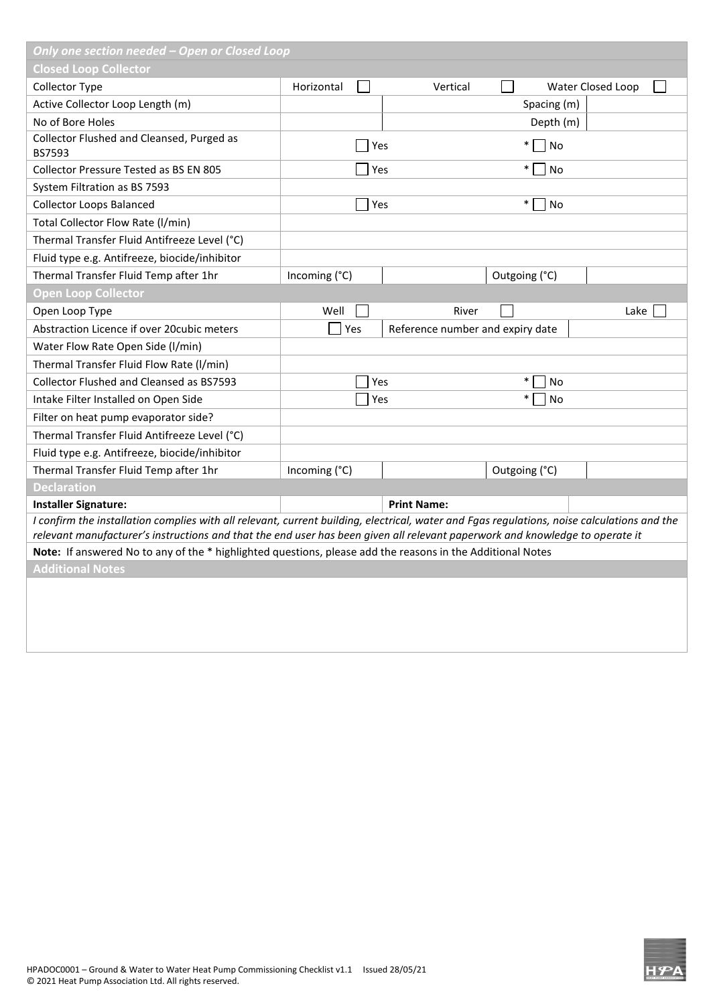| Only one section needed - Open or Closed Loop                                                                                                                                                                                                                               |               |     |                                  |               |                   |  |
|-----------------------------------------------------------------------------------------------------------------------------------------------------------------------------------------------------------------------------------------------------------------------------|---------------|-----|----------------------------------|---------------|-------------------|--|
| <b>Closed Loop Collector</b>                                                                                                                                                                                                                                                |               |     |                                  |               |                   |  |
| Collector Type                                                                                                                                                                                                                                                              | Horizontal    |     | Vertical                         |               | Water Closed Loop |  |
| Active Collector Loop Length (m)                                                                                                                                                                                                                                            |               |     |                                  | Spacing (m)   |                   |  |
| No of Bore Holes                                                                                                                                                                                                                                                            |               |     |                                  | Depth (m)     |                   |  |
| Collector Flushed and Cleansed, Purged as<br>BS7593                                                                                                                                                                                                                         |               | Yes |                                  | $\ast$<br>No  |                   |  |
| Collector Pressure Tested as BS EN 805                                                                                                                                                                                                                                      |               | Yes |                                  | $\ast$<br>No  |                   |  |
| System Filtration as BS 7593                                                                                                                                                                                                                                                |               |     |                                  |               |                   |  |
| <b>Collector Loops Balanced</b>                                                                                                                                                                                                                                             |               | Yes |                                  | $\ast$<br>No  |                   |  |
| Total Collector Flow Rate (I/min)                                                                                                                                                                                                                                           |               |     |                                  |               |                   |  |
| Thermal Transfer Fluid Antifreeze Level (°C)                                                                                                                                                                                                                                |               |     |                                  |               |                   |  |
| Fluid type e.g. Antifreeze, biocide/inhibitor                                                                                                                                                                                                                               |               |     |                                  |               |                   |  |
| Thermal Transfer Fluid Temp after 1hr                                                                                                                                                                                                                                       | Incoming (°C) |     |                                  | Outgoing (°C) |                   |  |
| <b>Open Loop Collector</b>                                                                                                                                                                                                                                                  |               |     |                                  |               |                   |  |
| Open Loop Type                                                                                                                                                                                                                                                              | Well          |     | River                            |               | Lake              |  |
| Abstraction Licence if over 20cubic meters                                                                                                                                                                                                                                  | Yes           |     | Reference number and expiry date |               |                   |  |
| Water Flow Rate Open Side (I/min)                                                                                                                                                                                                                                           |               |     |                                  |               |                   |  |
| Thermal Transfer Fluid Flow Rate (I/min)                                                                                                                                                                                                                                    |               |     |                                  |               |                   |  |
| Collector Flushed and Cleansed as BS7593                                                                                                                                                                                                                                    |               | Yes |                                  | $\ast$<br>No  |                   |  |
| Intake Filter Installed on Open Side                                                                                                                                                                                                                                        |               | Yes |                                  | $\ast$<br>No  |                   |  |
| Filter on heat pump evaporator side?                                                                                                                                                                                                                                        |               |     |                                  |               |                   |  |
| Thermal Transfer Fluid Antifreeze Level (°C)                                                                                                                                                                                                                                |               |     |                                  |               |                   |  |
| Fluid type e.g. Antifreeze, biocide/inhibitor                                                                                                                                                                                                                               |               |     |                                  |               |                   |  |
| Thermal Transfer Fluid Temp after 1hr                                                                                                                                                                                                                                       | Incoming (°C) |     |                                  | Outgoing (°C) |                   |  |
| <b>Declaration</b>                                                                                                                                                                                                                                                          |               |     |                                  |               |                   |  |
| <b>Installer Signature:</b>                                                                                                                                                                                                                                                 |               |     | <b>Print Name:</b>               |               |                   |  |
| I confirm the installation complies with all relevant, current building, electrical, water and Fgas regulations, noise calculations and the<br>relevant manufacturer's instructions and that the end user has been given all relevant paperwork and knowledge to operate it |               |     |                                  |               |                   |  |
| Note: If answered No to any of the * highlighted questions, please add the reasons in the Additional Notes                                                                                                                                                                  |               |     |                                  |               |                   |  |
| <b>Additional Notes</b>                                                                                                                                                                                                                                                     |               |     |                                  |               |                   |  |
|                                                                                                                                                                                                                                                                             |               |     |                                  |               |                   |  |
|                                                                                                                                                                                                                                                                             |               |     |                                  |               |                   |  |
|                                                                                                                                                                                                                                                                             |               |     |                                  |               |                   |  |
|                                                                                                                                                                                                                                                                             |               |     |                                  |               |                   |  |